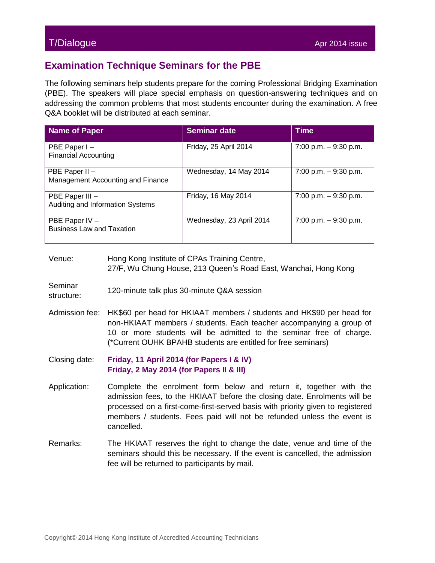### T/Dialogue Apr 2014 issue

## **Examination Technique Seminars for the PBE**

The following seminars help students prepare for the coming Professional Bridging Examination (PBE). The speakers will place special emphasis on question-answering techniques and on addressing the common problems that most students encounter during the examination. A free Q&A booklet will be distributed at each seminar.

| <b>Name of Paper</b>                                | <b>Seminar date</b>      | <b>Time</b>            |
|-----------------------------------------------------|--------------------------|------------------------|
| PBE Paper I -<br><b>Financial Accounting</b>        | Friday, 25 April 2014    | 7:00 p.m. $-9:30$ p.m. |
| PBE Paper II -<br>Management Accounting and Finance | Wednesday, 14 May 2014   | 7:00 p.m. $-9:30$ p.m. |
| PBE Paper III -<br>Auditing and Information Systems | Friday, 16 May 2014      | 7:00 p.m. $-9:30$ p.m. |
| PBE Paper IV -<br><b>Business Law and Taxation</b>  | Wednesday, 23 April 2014 | 7:00 p.m. $-9:30$ p.m. |

#### Venue: Hong Kong Institute of CPAs Training Centre, 27/F, Wu Chung House, 213 Queen's Road East, Wanchai, Hong Kong

#### Seminar

- structure: 120-minute talk plus 30-minute Q&A session
- Admission fee: HK\$60 per head for HKIAAT members / students and HK\$90 per head for non-HKIAAT members / students. Each teacher accompanying a group of 10 or more students will be admitted to the seminar free of charge. (\*Current OUHK BPAHB students are entitled for free seminars)
- Closing date: **Friday, 11 April 2014 (for Papers I & IV) Friday, 2 May 2014 (for Papers II & III)**
- Application: Complete the enrolment form below and return it, together with the admission fees, to the HKIAAT before the closing date. Enrolments will be processed on a first-come-first-served basis with priority given to registered members / students. Fees paid will not be refunded unless the event is cancelled.
- Remarks: The HKIAAT reserves the right to change the date, venue and time of the seminars should this be necessary. If the event is cancelled, the admission fee will be returned to participants by mail.